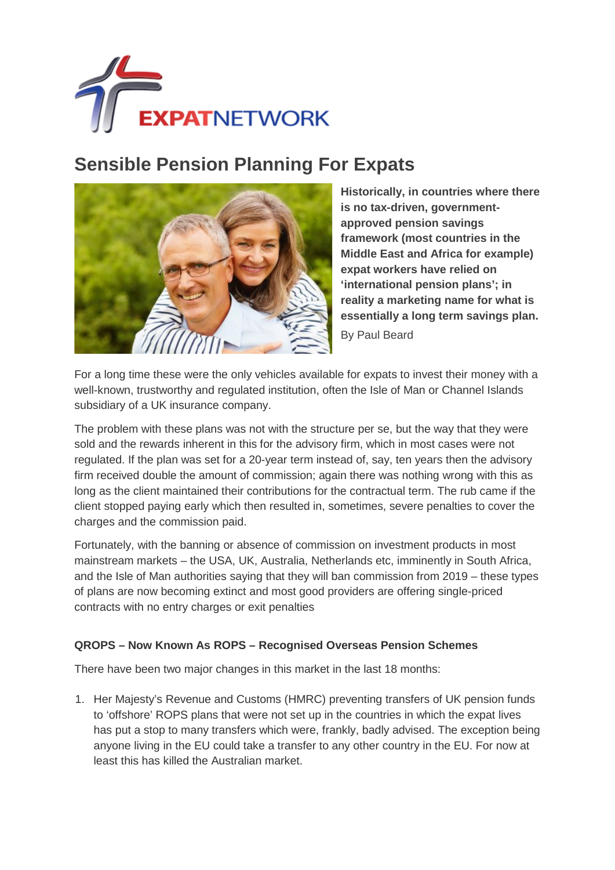

## **Sensible Pension Planning For Expats**



**Historically, in countries where there is no tax-driven, governmentapproved pension savings framework (most countries in the Middle East and Africa for example) expat workers have relied on 'international pension plans'; in reality a marketing name for what is essentially a long term savings plan.** By Paul Beard

For a long time these were the only vehicles available for expats to invest their money with a well-known, trustworthy and regulated institution, often the Isle of Man or Channel Islands subsidiary of a UK insurance company.

The problem with these plans was not with the structure per se, but the way that they were sold and the rewards inherent in this for the advisory firm, which in most cases were not regulated. If the plan was set for a 20-year term instead of, say, ten years then the advisory firm received double the amount of commission; again there was nothing wrong with this as long as the client maintained their contributions for the contractual term. The rub came if the client stopped paying early which then resulted in, sometimes, severe penalties to cover the charges and the commission paid.

Fortunately, with the banning or absence of commission on investment products in most mainstream markets – the USA, UK, Australia, Netherlands etc, imminently in South Africa, and the Isle of Man authorities saying that they will ban commission from 2019 – these types of plans are now becoming extinct and most good providers are offering single-priced contracts with no entry charges or exit penalties

## **QROPS – Now Known As ROPS – Recognised Overseas Pension Schemes**

There have been two major changes in this market in the last 18 months:

1. Her Majesty's Revenue and Customs (HMRC) preventing transfers of UK pension funds to 'offshore' ROPS plans that were not set up in the countries in which the expat lives has put a stop to many transfers which were, frankly, badly advised. The exception being anyone living in the EU could take a transfer to any other country in the EU. For now at least this has killed the Australian market.